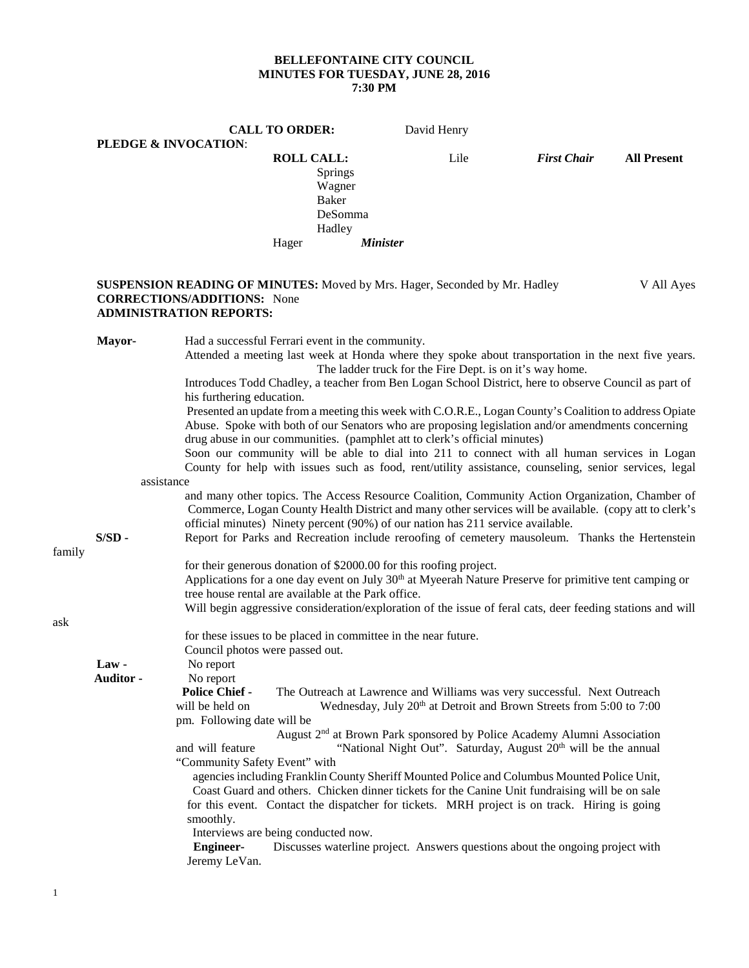## **BELLEFONTAINE CITY COUNCIL MINUTES FOR TUESDAY, JUNE 28, 2016 7:30 PM**

|        |                    |                                                                          | <b>CALL TO ORDER:</b> |                                              | David Henry                                                                                                                                                                                                                                                                                                                                                                              |                    |                    |
|--------|--------------------|--------------------------------------------------------------------------|-----------------------|----------------------------------------------|------------------------------------------------------------------------------------------------------------------------------------------------------------------------------------------------------------------------------------------------------------------------------------------------------------------------------------------------------------------------------------------|--------------------|--------------------|
|        |                    | PLEDGE & INVOCATION:                                                     |                       |                                              |                                                                                                                                                                                                                                                                                                                                                                                          |                    |                    |
|        |                    |                                                                          | <b>ROLL CALL:</b>     | Springs<br>Wagner<br><b>Baker</b><br>DeSomma | Lile                                                                                                                                                                                                                                                                                                                                                                                     | <b>First Chair</b> | <b>All Present</b> |
|        |                    |                                                                          |                       | Hadley                                       |                                                                                                                                                                                                                                                                                                                                                                                          |                    |                    |
|        |                    |                                                                          | Hager                 | <b>Minister</b>                              |                                                                                                                                                                                                                                                                                                                                                                                          |                    |                    |
|        |                    | <b>CORRECTIONS/ADDITIONS:</b> None<br><b>ADMINISTRATION REPORTS:</b>     |                       |                                              | <b>SUSPENSION READING OF MINUTES:</b> Moved by Mrs. Hager, Seconded by Mr. Hadley                                                                                                                                                                                                                                                                                                        |                    | V All Ayes         |
|        | Mayor-             | Had a successful Ferrari event in the community.                         |                       |                                              | Attended a meeting last week at Honda where they spoke about transportation in the next five years.                                                                                                                                                                                                                                                                                      |                    |                    |
|        |                    | his furthering education.                                                |                       |                                              | The ladder truck for the Fire Dept. is on it's way home.<br>Introduces Todd Chadley, a teacher from Ben Logan School District, here to observe Council as part of                                                                                                                                                                                                                        |                    |                    |
|        |                    |                                                                          |                       |                                              | Presented an update from a meeting this week with C.O.R.E., Logan County's Coalition to address Opiate<br>Abuse. Spoke with both of our Senators who are proposing legislation and/or amendments concerning<br>drug abuse in our communities. (pamphlet att to clerk's official minutes)<br>Soon our community will be able to dial into 211 to connect with all human services in Logan |                    |                    |
|        |                    |                                                                          |                       |                                              | County for help with issues such as food, rent/utility assistance, counseling, senior services, legal                                                                                                                                                                                                                                                                                    |                    |                    |
|        | assistance         |                                                                          |                       |                                              |                                                                                                                                                                                                                                                                                                                                                                                          |                    |                    |
|        |                    |                                                                          |                       |                                              | and many other topics. The Access Resource Coalition, Community Action Organization, Chamber of<br>Commerce, Logan County Health District and many other services will be available. (copy att to clerk's<br>official minutes) Ninety percent (90%) of our nation has 211 service available.                                                                                             |                    |                    |
| family | $S/SD$ -           |                                                                          |                       |                                              | Report for Parks and Recreation include reroofing of cemetery mausoleum. Thanks the Hertenstein                                                                                                                                                                                                                                                                                          |                    |                    |
|        |                    | tree house rental are available at the Park office.                      |                       |                                              | for their generous donation of \$2000.00 for this roofing project.<br>Applications for a one day event on July 30 <sup>th</sup> at Myeerah Nature Preserve for primitive tent camping or<br>Will begin aggressive consideration/exploration of the issue of feral cats, deer feeding stations and will                                                                                   |                    |                    |
| ask    |                    | Council photos were passed out.                                          |                       |                                              | for these issues to be placed in committee in the near future.                                                                                                                                                                                                                                                                                                                           |                    |                    |
|        | Law -<br>Auditor - | No report<br>No report                                                   |                       |                                              |                                                                                                                                                                                                                                                                                                                                                                                          |                    |                    |
|        |                    | <b>Police Chief -</b><br>will be held on<br>pm. Following date will be   |                       |                                              | The Outreach at Lawrence and Williams was very successful. Next Outreach<br>Wednesday, July 20 <sup>th</sup> at Detroit and Brown Streets from 5:00 to 7:00                                                                                                                                                                                                                              |                    |                    |
|        |                    | and will feature                                                         |                       |                                              | August 2 <sup>nd</sup> at Brown Park sponsored by Police Academy Alumni Association<br>"National Night Out". Saturday, August 20 <sup>th</sup> will be the annual                                                                                                                                                                                                                        |                    |                    |
|        |                    | "Community Safety Event" with<br>smoothly.                               |                       |                                              | agencies including Franklin County Sheriff Mounted Police and Columbus Mounted Police Unit,<br>Coast Guard and others. Chicken dinner tickets for the Canine Unit fundraising will be on sale<br>for this event. Contact the dispatcher for tickets. MRH project is on track. Hiring is going                                                                                            |                    |                    |
|        |                    | Interviews are being conducted now.<br><b>Engineer-</b><br>Jeremy LeVan. |                       |                                              | Discusses waterline project. Answers questions about the ongoing project with                                                                                                                                                                                                                                                                                                            |                    |                    |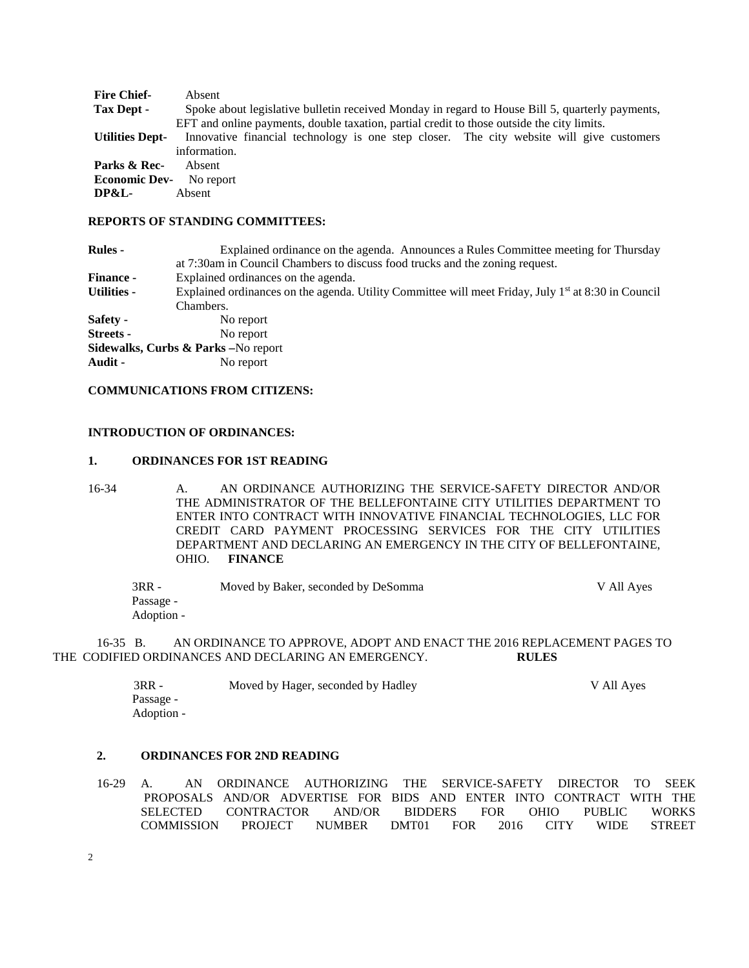| Absent                                                                                          |
|-------------------------------------------------------------------------------------------------|
| Spoke about legislative bulletin received Monday in regard to House Bill 5, quarterly payments, |
| EFT and online payments, double taxation, partial credit to those outside the city limits.      |
| Innovative financial technology is one step closer. The city website will give customers        |
| information.                                                                                    |
| Absent                                                                                          |
| <b>Economic Dev-</b><br>No report                                                               |
| Absent                                                                                          |
|                                                                                                 |

### **REPORTS OF STANDING COMMITTEES:**

| <b>Rules</b> -     | Explained ordinance on the agenda. Announces a Rules Committee meeting for Thursday                   |  |  |  |
|--------------------|-------------------------------------------------------------------------------------------------------|--|--|--|
|                    | at 7:30am in Council Chambers to discuss food trucks and the zoning request.                          |  |  |  |
| <b>Finance -</b>   | Explained ordinances on the agenda.                                                                   |  |  |  |
| <b>Utilities -</b> | Explained ordinances on the agenda. Utility Committee will meet Friday, July $1st$ at 8:30 in Council |  |  |  |
|                    | Chambers.                                                                                             |  |  |  |
| Safety -           | No report                                                                                             |  |  |  |
| <b>Streets</b> -   | No report                                                                                             |  |  |  |
|                    | Sidewalks, Curbs & Parks - No report                                                                  |  |  |  |
| Audit -            | No report                                                                                             |  |  |  |

# **COMMUNICATIONS FROM CITIZENS:**

### **INTRODUCTION OF ORDINANCES:**

#### **1. ORDINANCES FOR 1ST READING**

16-34 A. AN ORDINANCE AUTHORIZING THE SERVICE-SAFETY DIRECTOR AND/OR THE ADMINISTRATOR OF THE BELLEFONTAINE CITY UTILITIES DEPARTMENT TO ENTER INTO CONTRACT WITH INNOVATIVE FINANCIAL TECHNOLOGIES, LLC FOR CREDIT CARD PAYMENT PROCESSING SERVICES FOR THE CITY UTILITIES DEPARTMENT AND DECLARING AN EMERGENCY IN THE CITY OF BELLEFONTAINE, OHIO. **FINANCE**

| $3RR -$    | Moved by Baker, seconded by DeSomma | V All Ayes |
|------------|-------------------------------------|------------|
| Passage -  |                                     |            |
| Adoption - |                                     |            |

 16-35 B. AN ORDINANCE TO APPROVE, ADOPT AND ENACT THE 2016 REPLACEMENT PAGES TO THE CODIFIED ORDINANCES AND DECLARING AN EMERGENCY. **RULES**

| 3RR -      | Moved by Hager, seconded by Hadley | V All Ayes |
|------------|------------------------------------|------------|
| Passage -  |                                    |            |
| Adoption - |                                    |            |

#### **2. ORDINANCES FOR 2ND READING**

16-29 A. AN ORDINANCE AUTHORIZING THE SERVICE-SAFETY DIRECTOR TO SEEK PROPOSALS AND/OR ADVERTISE FOR BIDS AND ENTER INTO CONTRACT WITH THE SELECTED CONTRACTOR AND/OR BIDDERS FOR OHIO PUBLIC WORKS SELECTED CONTRACTOR AND/OR BIDDERS FOR OHIO PUBLIC WORKS COMMISSION PROJECT NUMBER DMT01 FOR 2016 CITY WIDE STREET COMMISSION PROJECT NUMBER DMT01 FOR 2016 CITY WIDE STREET

2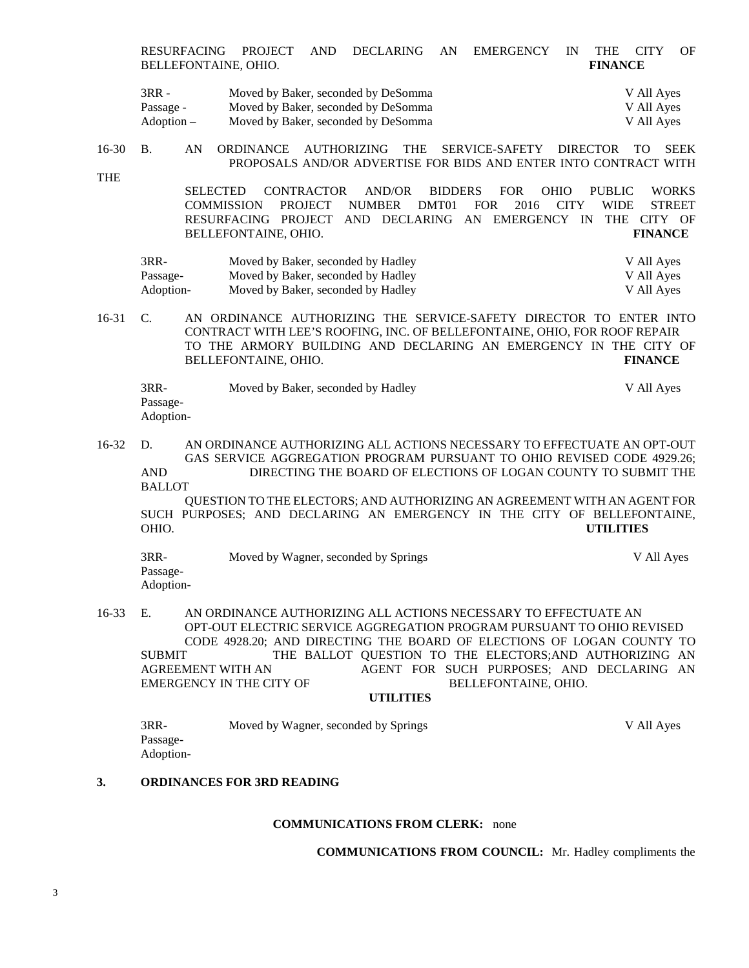RESURFACING PROJECT AND DECLARING AN EMERGENCY IN THE CITY OF BELLEFONTAINE, OHIO. **FINANCE**

| $3RR -$    | Moved by Baker, seconded by DeSomma | V All Ayes |
|------------|-------------------------------------|------------|
| Passage -  | Moved by Baker, seconded by DeSomma | V All Ayes |
| Adoption – | Moved by Baker, seconded by DeSomma | V All Ayes |

16-30 B. AN ORDINANCE AUTHORIZING THE SERVICE-SAFETY DIRECTOR TO SEEK PROPOSALS AND/OR ADVERTISE FOR BIDS AND ENTER INTO CONTRACT WITH

THE

SELECTED CONTRACTOR AND/OR BIDDERS FOR OHIO PUBLIC WORKS COMMISSION PROJECT NUMBER DMT01 FOR 2016 CITY WIDE STREET RESURFACING PROJECT AND DECLARING AN EMERGENCY IN THE CITY OF BELLEFONTAINE, OHIO. **FINANCE**

| 3RR-      | Moved by Baker, seconded by Hadley | V All Ayes |
|-----------|------------------------------------|------------|
| Passage-  | Moved by Baker, seconded by Hadley | V All Ayes |
| Adoption- | Moved by Baker, seconded by Hadley | V All Ayes |

16-31 C. AN ORDINANCE AUTHORIZING THE SERVICE-SAFETY DIRECTOR TO ENTER INTO CONTRACT WITH LEE'S ROOFING, INC. OF BELLEFONTAINE, OHIO, FOR ROOF REPAIR TO THE ARMORY BUILDING AND DECLARING AN EMERGENCY IN THE CITY OF BELLEFONTAINE, OHIO. **FINANCE**

| 3RR-      | Moved by Baker, seconded by Hadley | V All Aves |
|-----------|------------------------------------|------------|
| Passage-  |                                    |            |
| Adoption- |                                    |            |

### 16-32 D. AN ORDINANCE AUTHORIZING ALL ACTIONS NECESSARY TO EFFECTUATE AN OPT-OUT GAS SERVICE AGGREGATION PROGRAM PURSUANT TO OHIO REVISED CODE 4929.26; AND DIRECTING THE BOARD OF ELECTIONS OF LOGAN COUNTY TO SUBMIT THE BALLOT QUESTION TO THE ELECTORS; AND AUTHORIZING AN AGREEMENT WITH AN AGENT FOR

SUCH PURPOSES; AND DECLARING AN EMERGENCY IN THE CITY OF BELLEFONTAINE, OHIO. **UTILITIES**

| $3RR-$    | Moved by Wagner, seconded by Springs | V All Ayes |
|-----------|--------------------------------------|------------|
| Passage-  |                                      |            |
| Adoption- |                                      |            |

16-33 E. AN ORDINANCE AUTHORIZING ALL ACTIONS NECESSARY TO EFFECTUATE AN OPT-OUT ELECTRIC SERVICE AGGREGATION PROGRAM PURSUANT TO OHIO REVISED CODE 4928.20; AND DIRECTING THE BOARD OF ELECTIONS OF LOGAN COUNTY TO SUBMIT THE BALLOT QUESTION TO THE ELECTORS;AND AUTHORIZING AN AGREEMENT WITH AN AGENT FOR SUCH PURPOSES; AND DECLARING AN EMERGENCY IN THE CITY OF BELLEFONTAINE, OHIO.

#### **UTILITIES**

| 3RR-      | Moved by Wagner, seconded by Springs | V All Ayes |
|-----------|--------------------------------------|------------|
| Passage-  |                                      |            |
| Adoption- |                                      |            |

### **3. ORDINANCES FOR 3RD READING**

#### **COMMUNICATIONS FROM CLERK:** none

**COMMUNICATIONS FROM COUNCIL:** Mr. Hadley compliments the